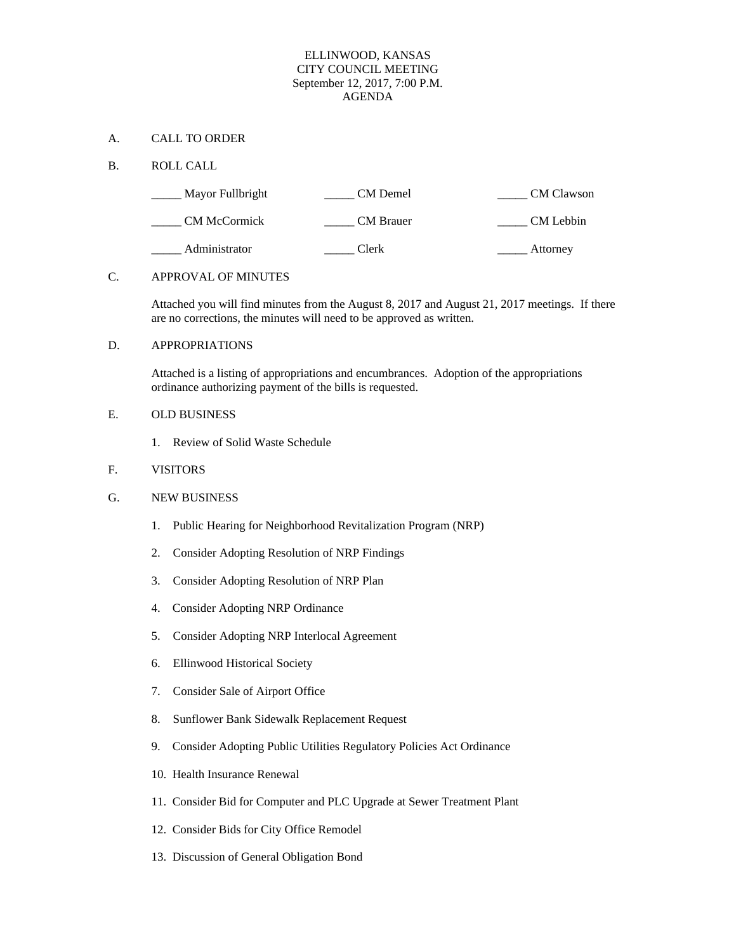# ELLINWOOD, KANSAS CITY COUNCIL MEETING September 12, 2017, 7:00 P.M. AGENDA

# A. CALL TO ORDER

## B. ROLL CALL

| Mayor Fullbright    | CM Demel         | CM Clawson |
|---------------------|------------------|------------|
| <b>CM McCormick</b> | <b>CM</b> Brauer | CM Lebbin  |
| Administrator       | Clerk            | Attorney   |

## C. APPROVAL OF MINUTES

Attached you will find minutes from the August 8, 2017 and August 21, 2017 meetings. If there are no corrections, the minutes will need to be approved as written.

## D. APPROPRIATIONS

Attached is a listing of appropriations and encumbrances. Adoption of the appropriations ordinance authorizing payment of the bills is requested.

## E. OLD BUSINESS

1. Review of Solid Waste Schedule

# F. VISITORS

# G. NEW BUSINESS

- 1. Public Hearing for Neighborhood Revitalization Program (NRP)
- 2. Consider Adopting Resolution of NRP Findings
- 3. Consider Adopting Resolution of NRP Plan
- 4. Consider Adopting NRP Ordinance
- 5. Consider Adopting NRP Interlocal Agreement
- 6. Ellinwood Historical Society
- 7. Consider Sale of Airport Office
- 8. Sunflower Bank Sidewalk Replacement Request
- 9. Consider Adopting Public Utilities Regulatory Policies Act Ordinance
- 10. Health Insurance Renewal
- 11. Consider Bid for Computer and PLC Upgrade at Sewer Treatment Plant
- 12. Consider Bids for City Office Remodel
- 13. Discussion of General Obligation Bond